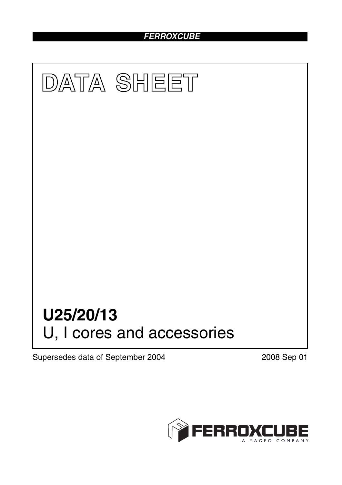## *FERROXCUBE*



Supersedes data of September 2004 2008 Sep 01

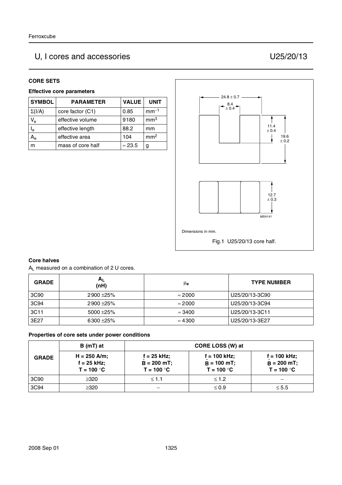# U, I cores and accessories U25/20/13

#### **CORE SETS**

#### **Effective core parameters**

| <b>SYMBOL</b>             | <b>PARAMETER</b>  | <b>VALUE</b>   | <b>UNIT</b>     |
|---------------------------|-------------------|----------------|-----------------|
| $\Sigma(I/A)$             | core factor (C1)  | 0.85           | $mm-1$          |
| $V_{e}$                   | effective volume  | 9180           | mm <sup>3</sup> |
| $\mathsf{I}_{\mathsf{e}}$ | effective length  | 88.2           | mm              |
| A <sub>e</sub>            | effective area    | 104            | mm <sup>2</sup> |
|                           | mass of core half | $\approx$ 23.5 | g               |



#### **Core halves**

A<sub>L</sub> measured on a combination of 2 U cores.

| <b>GRADE</b> | $A_{L}$<br>(nH) | μe             | <b>TYPE NUMBER</b> |
|--------------|-----------------|----------------|--------------------|
| 3C90         | 2900 ± 25%      | $\approx$ 2000 | U25/20/13-3C90     |
| 3C94         | $2900 + 25%$    | $\approx$ 2000 | U25/20/13-3C94     |
| 3C11         | $5000 + 25\%$   | $\approx$ 3400 | U25/20/13-3C11     |
| 3E27         | 6300 ± 25%      | $\approx 4300$ | U25/20/13-3E27     |

#### **Properties of core sets under power conditions**

|              | B (mT) at                                       |                                                | CORE LOSS (W) at                              |                                                 |
|--------------|-------------------------------------------------|------------------------------------------------|-----------------------------------------------|-------------------------------------------------|
| <b>GRADE</b> | $H = 250$ A/m;<br>$f = 25$ kHz;<br>$T = 100 °C$ | $f = 25$ kHz;<br>$B = 200$ mT;<br>$T = 100 °C$ | f = 100 kHz:<br>$B = 100$ mT;<br>$T = 100 °C$ | $f = 100$ kHz;<br>$B = 200$ mT;<br>$T = 100 °C$ |
| 3C90         | ≥320                                            | $\leq 1.1$                                     | $\leq 1.2$                                    |                                                 |
| 3C94         | ≥320                                            |                                                | $\leq 0.9$                                    | $\leq 5.5$                                      |